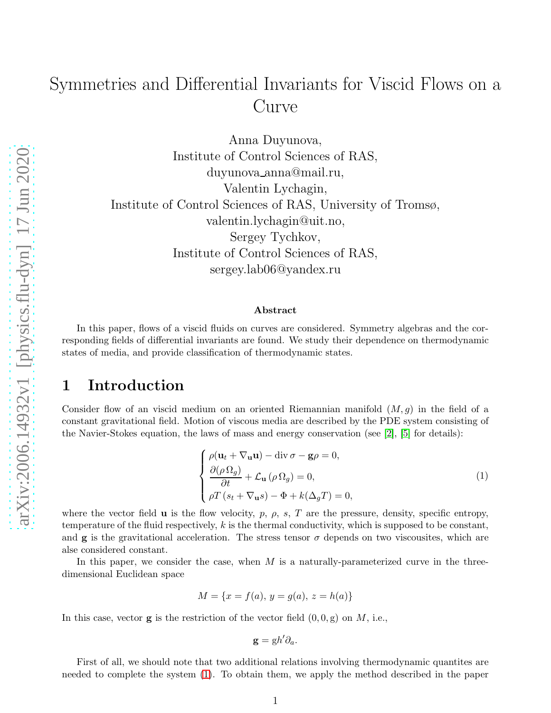# Symmetries and Differential Invariants for Viscid Flows on a Curve

Anna Duyunova, Institute of Control Sciences of RAS, duyunova anna@mail.ru, Valentin Lychagin, Institute of Control Sciences of RAS, University of Tromsø, valentin.lychagin@uit.no, Sergey Tychkov, Institute of Control Sciences of RAS, sergey.lab06@yandex.ru

#### Abstract

In this paper, flows of a viscid fluids on curves are considered. Symmetry algebras and the corresponding fields of differential invariants are found. We study their dependence on thermodynamic states of media, and provide classification of thermodynamic states.

#### 1 Introduction

Consider flow of an viscid medium on an oriented Riemannian manifold  $(M, g)$  in the field of a constant gravitational field. Motion of viscous media are described by the PDE system consisting of the Navier-Stokes equation, the laws of mass and energy conservation (see  $[2]$ ,  $[5]$  for details):

<span id="page-0-0"></span>
$$
\begin{cases}\n\rho(\mathbf{u}_t + \nabla_\mathbf{u}\mathbf{u}) - \text{div}\,\sigma - \mathbf{g}\rho = 0, \\
\frac{\partial(\rho \,\Omega_g)}{\partial t} + \mathcal{L}_\mathbf{u}(\rho \,\Omega_g) = 0, \\
\rho T (s_t + \nabla_\mathbf{u} s) - \Phi + k(\Delta_g T) = 0,\n\end{cases}
$$
\n(1)

where the vector field  $\bf{u}$  is the flow velocity, p,  $\rho$ , s, T are the pressure, density, specific entropy, temperature of the fluid respectively,  $k$  is the thermal conductivity, which is supposed to be constant, and **g** is the gravitational acceleration. The stress tensor  $\sigma$  depends on two viscousites, which are alse considered constant.

In this paper, we consider the case, when  $M$  is a naturally-parameterized curve in the threedimensional Euclidean space

$$
M = \{x = f(a), y = g(a), z = h(a)\}
$$

In this case, vector  $g$  is the restriction of the vector field  $(0, 0, g)$  on M, i.e.,

$$
\mathbf{g} = \mathrm{g} h' \partial_a.
$$

First of all, we should note that two additional relations involving thermodynamic quantites are needed to complete the system [\(1\)](#page-0-0). To obtain them, we apply the method described in the paper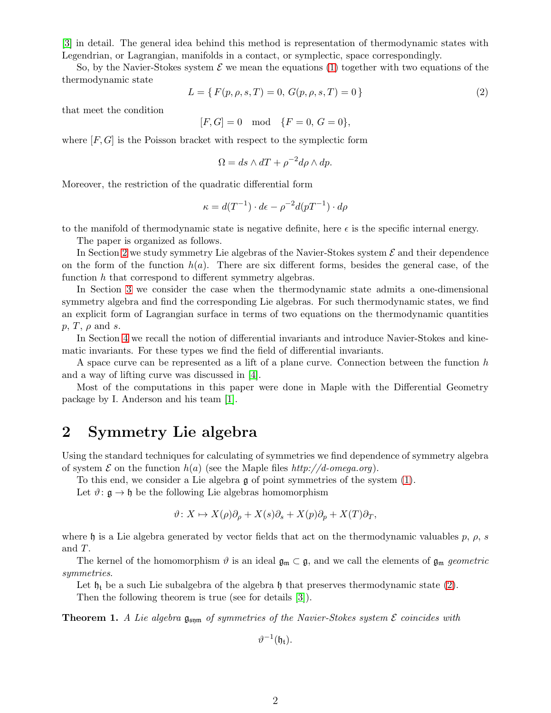[\[3\]](#page-9-2) in detail. The general idea behind this method is representation of thermodynamic states with Legendrian, or Lagrangian, manifolds in a contact, or symplectic, space correspondingly.

So, by the Navier-Stokes system  $\mathcal E$  we mean the equations [\(1\)](#page-0-0) together with two equations of the thermodynamic state

<span id="page-1-1"></span>
$$
L = \{ F(p, \rho, s, T) = 0, G(p, \rho, s, T) = 0 \}
$$
\n<sup>(2)</sup>

that meet the condition

$$
[F, G] = 0 \mod \{F = 0, G = 0\},\
$$

where  $[F, G]$  is the Poisson bracket with respect to the symplectic form

$$
\Omega = ds \wedge dT + \rho^{-2} d\rho \wedge dp.
$$

Moreover, the restriction of the quadratic differential form

$$
\kappa = d(T^{-1}) \cdot d\epsilon - \rho^{-2} d(pT^{-1}) \cdot d\rho
$$

to the manifold of thermodynamic state is negative definite, here  $\epsilon$  is the specific internal energy.

The paper is organized as follows.

In Section [2](#page-1-0) we study symmetry Lie algebras of the Navier-Stokes system  $\mathcal E$  and their dependence on the form of the function  $h(a)$ . There are six different forms, besides the general case, of the function h that correspond to different symmetry algebras.

In Section [3](#page-4-0) we consider the case when the thermodynamic state admits a one-dimensional symmetry algebra and find the corresponding Lie algebras. For such thermodynamic states, we find an explicit form of Lagrangian surface in terms of two equations on the thermodynamic quantities  $p, T, \rho \text{ and } s.$ 

In Section [4](#page-5-0) we recall the notion of differential invariants and introduce Navier-Stokes and kinematic invariants. For these types we find the field of differential invariants.

A space curve can be represented as a lift of a plane curve. Connection between the function h and a way of lifting curve was discussed in [\[4\]](#page-9-3).

Most of the computations in this paper were done in Maple with the Differential Geometry package by I. Anderson and his team [\[1\]](#page-9-4).

### <span id="page-1-0"></span>2 Symmetry Lie algebra

Using the standard techniques for calculating of symmetries we find dependence of symmetry algebra of system  $\mathcal E$  on the function  $h(a)$  (see the Maple files http://d-omega.org).

To this end, we consider a Lie algebra g of point symmetries of the system [\(1\)](#page-0-0).

Let  $\vartheta: \mathfrak{g} \to \mathfrak{h}$  be the following Lie algebras homomorphism

$$
\vartheta \colon X \mapsto X(\rho)\partial_{\rho} + X(s)\partial_{s} + X(p)\partial_{p} + X(T)\partial_{T},
$$

where h is a Lie algebra generated by vector fields that act on the thermodynamic valuables p,  $\rho$ , s and T.

The kernel of the homomorphism  $\vartheta$  is an ideal  $\mathfrak{g}_{\mathfrak{m}} \subset \mathfrak{g}$ , and we call the elements of  $\mathfrak{g}_{\mathfrak{m}}$  geometric symmetries.

Let  $\mathfrak{h}_t$  be a such Lie subalgebra of the algebra  $\mathfrak{h}$  that preserves thermodynamic state [\(2\)](#page-1-1).

Then the following theorem is true (see for details [\[3\]](#page-9-2)).

**Theorem 1.** A Lie algebra  $\mathfrak{g}_{\mathfrak{sym}}$  of symmetries of the Navier-Stokes system  $\mathcal E$  coincides with

 $\vartheta^{-1}(\mathfrak{h}_{\mathfrak{t}}).$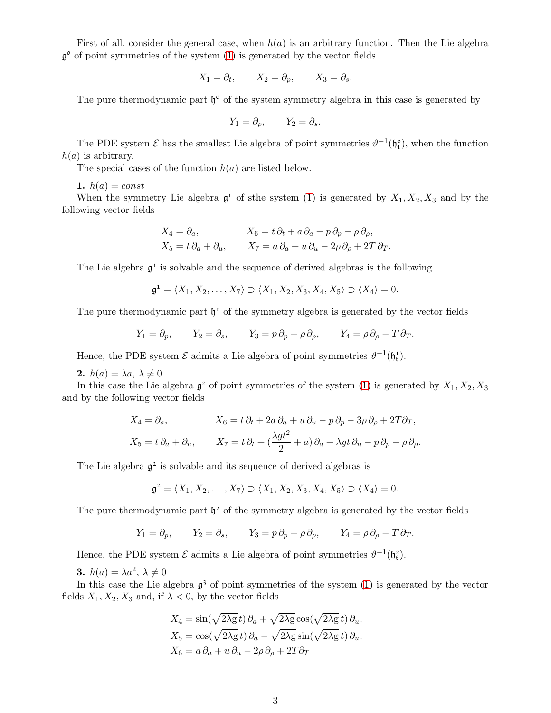First of all, consider the general case, when  $h(a)$  is an arbitrary function. Then the Lie algebra  $\mathfrak{g}^{\circ}$  of point symmetries of the system  $(1)$  is generated by the vector fields

$$
X_1 = \partial_t, \qquad X_2 = \partial_p, \qquad X_3 = \partial_s.
$$

The pure thermodynamic part  $\mathfrak{h}^{\circ}$  of the system symmetry algebra in this case is generated by

$$
Y_1 = \partial_p, \qquad Y_2 = \partial_s.
$$

The PDE system  $\mathcal E$  has the smallest Lie algebra of point symmetries  $\vartheta^{-1}(\mathfrak{h}_t^o)$ , when the function  $h(a)$  is arbitrary.

The special cases of the function  $h(a)$  are listed below.

1.  $h(a) = const$ 

When the symmetry Lie algebra  $\mathfrak{g}^1$  of sthe system [\(1\)](#page-0-0) is generated by  $X_1, X_2, X_3$  and by the following vector fields

$$
X_4 = \partial_a, \qquad X_6 = t \partial_t + a \partial_a - p \partial_p - \rho \partial_\rho,
$$
  
\n
$$
X_5 = t \partial_a + \partial_u, \qquad X_7 = a \partial_a + u \partial_u - 2\rho \partial_\rho + 2T \partial_T.
$$

The Lie algebra  $\mathfrak{g}^1$  is solvable and the sequence of derived algebras is the following

$$
\mathfrak{g}^1 = \langle X_1, X_2, \dots, X_7 \rangle \supset \langle X_1, X_2, X_3, X_4, X_5 \rangle \supset \langle X_4 \rangle = 0.
$$

The pure thermodynamic part  $\mathfrak{h}^1$  of the symmetry algebra is generated by the vector fields

$$
Y_1 = \partial_p
$$
,  $Y_2 = \partial_s$ ,  $Y_3 = p \partial_p + \rho \partial_\rho$ ,  $Y_4 = \rho \partial_\rho - T \partial_T$ .

Hence, the PDE system  $\mathcal E$  admits a Lie algebra of point symmetries  $\vartheta^{-1}(\mathfrak{h}_t^1)$ .

2.  $h(a) = \lambda a, \lambda \neq 0$ 

In this case the Lie algebra  $\mathfrak{g}^2$  of point symmetries of the system [\(1\)](#page-0-0) is generated by  $X_1, X_2, X_3$ and by the following vector fields

$$
X_4 = \partial_a, \qquad X_6 = t \partial_t + 2a \partial_a + u \partial_u - p \partial_p - 3\rho \partial_\rho + 2T \partial_T,
$$
  

$$
X_5 = t \partial_a + \partial_u, \qquad X_7 = t \partial_t + \left(\frac{\lambda g t^2}{2} + a\right) \partial_a + \lambda g t \partial_u - p \partial_p - \rho \partial_\rho.
$$

The Lie algebra  $\mathfrak{g}^2$  is solvable and its sequence of derived algebras is

$$
\mathfrak{g}^2=\langle X_1,X_2,\ldots,X_7 \rangle \supset \langle X_1,X_2,X_3,X_4,X_5 \rangle \supset \langle X_4 \rangle =0.
$$

The pure thermodynamic part  $\mathfrak{h}^2$  of the symmetry algebra is generated by the vector fields

$$
Y_1 = \partial_p
$$
,  $Y_2 = \partial_s$ ,  $Y_3 = p \partial_p + \rho \partial_\rho$ ,  $Y_4 = \rho \partial_\rho - T \partial_T$ .

Hence, the PDE system  $\mathcal E$  admits a Lie algebra of point symmetries  $\vartheta^{-1}(\mathfrak{h}_t^2)$ .

**3.**  $h(a) = \lambda a^2, \ \lambda \neq 0$ 

In this case the Lie algebra  $\mathfrak{g}^3$  of point symmetries of the system  $(1)$  is generated by the vector fields  $X_1, X_2, X_3$  and, if  $\lambda < 0$ , by the vector fields

$$
X_4 = \sin(\sqrt{2\lambda g} t) \partial_a + \sqrt{2\lambda g} \cos(\sqrt{2\lambda g} t) \partial_u,
$$
  
\n
$$
X_5 = \cos(\sqrt{2\lambda g} t) \partial_a - \sqrt{2\lambda g} \sin(\sqrt{2\lambda g} t) \partial_u,
$$
  
\n
$$
X_6 = a \partial_a + u \partial_u - 2\rho \partial_\rho + 2T \partial_T
$$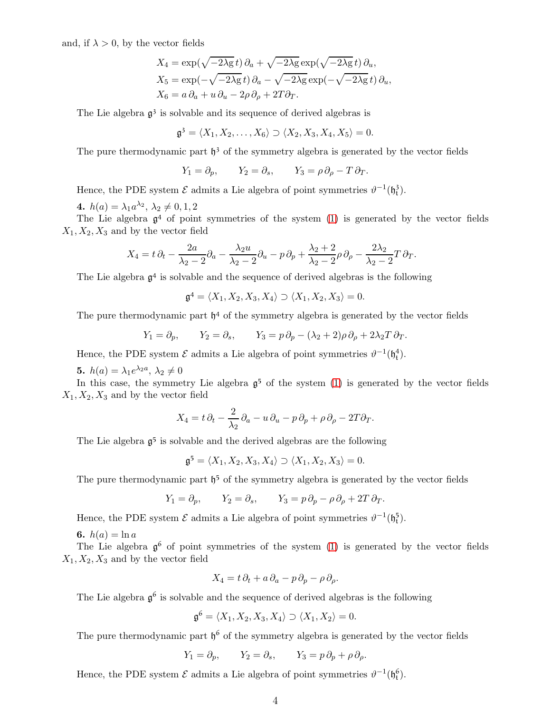and, if  $\lambda > 0$ , by the vector fields

$$
X_4 = \exp(\sqrt{-2\lambda g} t) \partial_a + \sqrt{-2\lambda g} \exp(\sqrt{-2\lambda g} t) \partial_u,
$$
  
\n
$$
X_5 = \exp(-\sqrt{-2\lambda g} t) \partial_a - \sqrt{-2\lambda g} \exp(-\sqrt{-2\lambda g} t) \partial_u,
$$
  
\n
$$
X_6 = a \partial_a + u \partial_u - 2\rho \partial_\rho + 2T \partial_T.
$$

The Lie algebra  $\mathfrak{g}^3$  is solvable and its sequence of derived algebras is

$$
\mathfrak{g}^3=\langle X_1,X_2,\ldots,X_6\rangle\supset\langle X_2,X_3,X_4,X_5\rangle=0.
$$

The pure thermodynamic part  $\mathfrak{h}^3$  of the symmetry algebra is generated by the vector fields

$$
Y_1 = \partial_p
$$
,  $Y_2 = \partial_s$ ,  $Y_3 = \rho \partial_\rho - T \partial_T$ .

Hence, the PDE system  $\mathcal{E}$  admits a Lie algebra of point symmetries  $\vartheta^{-1}(\mathfrak{h}_t)$  $\binom{3}{1}$ .

4.  $h(a) = \lambda_1 a^{\lambda_2}, \lambda_2 \neq 0, 1, 2$ 

The Lie algebra  $\mathfrak{g}^4$  of point symmetries of the system  $(1)$  is generated by the vector fields  $X_1, X_2, X_3$  and by the vector field

$$
X_4 = t \partial_t - \frac{2a}{\lambda_2 - 2} \partial_a - \frac{\lambda_2 u}{\lambda_2 - 2} \partial_u - p \partial_p + \frac{\lambda_2 + 2}{\lambda_2 - 2} \rho \partial_p - \frac{2\lambda_2}{\lambda_2 - 2} T \partial_T.
$$

The Lie algebra  $\mathfrak{g}^4$  is solvable and the sequence of derived algebras is the following

 $\mathfrak{g}^4 = \langle X_1, X_2, X_3, X_4 \rangle \supset \langle X_1, X_2, X_3 \rangle = 0.$ 

The pure thermodynamic part  $\mathfrak{h}^4$  of the symmetry algebra is generated by the vector fields

$$
Y_1 = \partial_p
$$
,  $Y_2 = \partial_s$ ,  $Y_3 = p \partial_p - (\lambda_2 + 2)\rho \partial_\rho + 2\lambda_2 T \partial_T$ .

Hence, the PDE system  $\mathcal{E}$  admits a Lie algebra of point symmetries  $\vartheta^{-1}(\mathfrak{h}^4_t)$  $\binom{4}{1}$ .

**5.**  $h(a) = \lambda_1 e^{\lambda_2 a}, \lambda_2 \neq 0$ 

In this case, the symmetry Lie algebra  $\mathfrak{g}^5$  of the system [\(1\)](#page-0-0) is generated by the vector fields  $X_1, X_2, X_3$  and by the vector field

$$
X_4 = t \, \partial_t - \frac{2}{\lambda_2} \, \partial_a - u \, \partial_u - p \, \partial_p + \rho \, \partial_\rho - 2T \partial_T.
$$

The Lie algebra  $\mathfrak{g}^5$  is solvable and the derived algebras are the following

$$
\mathfrak{g}^5 = \langle X_1, X_2, X_3, X_4 \rangle \supset \langle X_1, X_2, X_3 \rangle = 0.
$$

The pure thermodynamic part  $\mathfrak{h}^5$  of the symmetry algebra is generated by the vector fields

$$
Y_1 = \partial_p
$$
,  $Y_2 = \partial_s$ ,  $Y_3 = p \partial_p - \rho \partial_\rho + 2T \partial_T$ .

Hence, the PDE system  $\mathcal{E}$  admits a Lie algebra of point symmetries  $\vartheta^{-1}(\mathfrak{h}^5_t)$  $_{\mathfrak{t}}^{\mathfrak{b}}).$ 

6.  $h(a) = \ln a$ 

The Lie algebra  $\mathfrak{g}^6$  of point symmetries of the system [\(1\)](#page-0-0) is generated by the vector fields  $X_1, X_2, X_3$  and by the vector field

$$
X_4 = t \, \partial_t + a \, \partial_a - p \, \partial_p - \rho \, \partial_\rho.
$$

The Lie algebra  $\mathfrak{g}^6$  is solvable and the sequence of derived algebras is the following

$$
\mathfrak{g}^6 = \langle X_1, X_2, X_3, X_4 \rangle \supset \langle X_1, X_2 \rangle = 0.
$$

The pure thermodynamic part  $\mathfrak{h}^6$  of the symmetry algebra is generated by the vector fields

$$
Y_1 = \partial_p
$$
,  $Y_2 = \partial_s$ ,  $Y_3 = p \partial_p + \rho \partial_\rho$ .

Hence, the PDE system  $\mathcal E$  admits a Lie algebra of point symmetries  $\vartheta^{-1}(\mathfrak{h}^6_t)$ .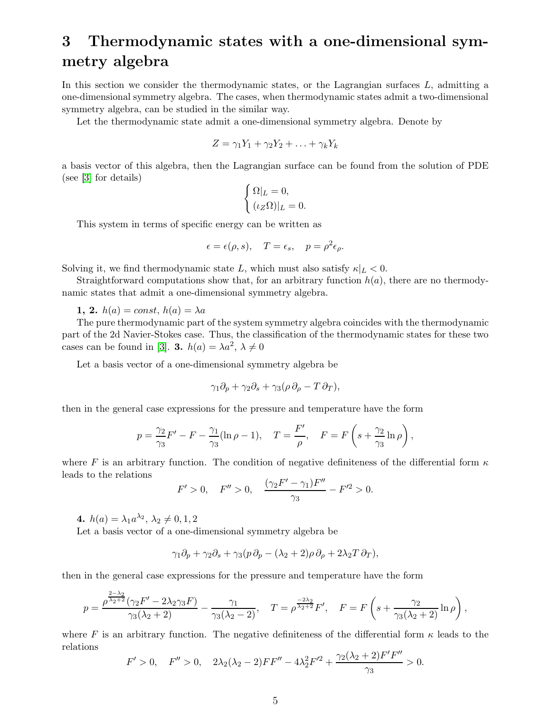# <span id="page-4-0"></span>3 Thermodynamic states with a one-dimensional symmetry algebra

In this section we consider the thermodynamic states, or the Lagrangian surfaces  $L$ , admitting a one-dimensional symmetry algebra. The cases, when thermodynamic states admit a two-dimensional symmetry algebra, can be studied in the similar way.

Let the thermodynamic state admit a one-dimensional symmetry algebra. Denote by

$$
Z = \gamma_1 Y_1 + \gamma_2 Y_2 + \ldots + \gamma_k Y_k
$$

a basis vector of this algebra, then the Lagrangian surface can be found from the solution of PDE (see [\[3\]](#page-9-2) for details)

$$
\begin{cases} \Omega|_{L} = 0, \\ (\iota_Z \Omega)|_{L} = 0. \end{cases}
$$

This system in terms of specific energy can be written as

$$
\epsilon = \epsilon(\rho, s), \quad T = \epsilon_s, \quad p = \rho^2 \epsilon_\rho.
$$

Solving it, we find thermodynamic state L, which must also satisfy  $\kappa|_L < 0$ .

Straightforward computations show that, for an arbitrary function  $h(a)$ , there are no thermodynamic states that admit a one-dimensional symmetry algebra.

1, 2.  $h(a) = const, h(a) = \lambda a$ 

The pure thermodynamic part of the system symmetry algebra coincides with the thermodynamic part of the 2d Navier-Stokes case. Thus, the classification of the thermodynamic states for these two cases can be found in [\[3\]](#page-9-2). **3.**  $h(a) = \lambda a^2, \lambda \neq 0$ 

Let a basis vector of a one-dimensional symmetry algebra be

$$
\gamma_1 \partial_p + \gamma_2 \partial_s + \gamma_3 (\rho \partial_\rho - T \partial_T),
$$

then in the general case expressions for the pressure and temperature have the form

$$
p = \frac{\gamma_2}{\gamma_3} F' - F - \frac{\gamma_1}{\gamma_3} (\ln \rho - 1), \quad T = \frac{F'}{\rho}, \quad F = F\left(s + \frac{\gamma_2}{\gamma_3} \ln \rho\right),
$$

where F is an arbitrary function. The condition of negative definiteness of the differential form  $\kappa$ leads to the relations ′′

$$
F' > 0, \quad F'' > 0, \quad \frac{(\gamma_2 F' - \gamma_1)F''}{\gamma_3} - F'^2 > 0.
$$

4.  $h(a) = \lambda_1 a^{\lambda_2}, \lambda_2 \neq 0, 1, 2$ 

Let a basis vector of a one-dimensional symmetry algebra be

$$
\gamma_1 \partial_p + \gamma_2 \partial_s + \gamma_3 (p \partial_p - (\lambda_2 + 2) \rho \partial_\rho + 2 \lambda_2 T \partial_T),
$$

then in the general case expressions for the pressure and temperature have the form

$$
p = \frac{\rho^{\frac{2-\lambda_2}{\lambda_2+2}}(\gamma_2 F' - 2\lambda_2 \gamma_3 F)}{\gamma_3(\lambda_2+2)} - \frac{\gamma_1}{\gamma_3(\lambda_2-2)}, \quad T = \rho^{\frac{-2\lambda_2}{\lambda_2+2}} F', \quad F = F\left(s + \frac{\gamma_2}{\gamma_3(\lambda_2+2)} \ln \rho\right),
$$

where F is an arbitrary function. The negative definiteness of the differential form  $\kappa$  leads to the relations

$$
F' > 0, \quad F'' > 0, \quad 2\lambda_2(\lambda_2 - 2)FF'' - 4\lambda_2^2 F'^2 + \frac{\gamma_2(\lambda_2 + 2)F'F''}{\gamma_3} > 0.
$$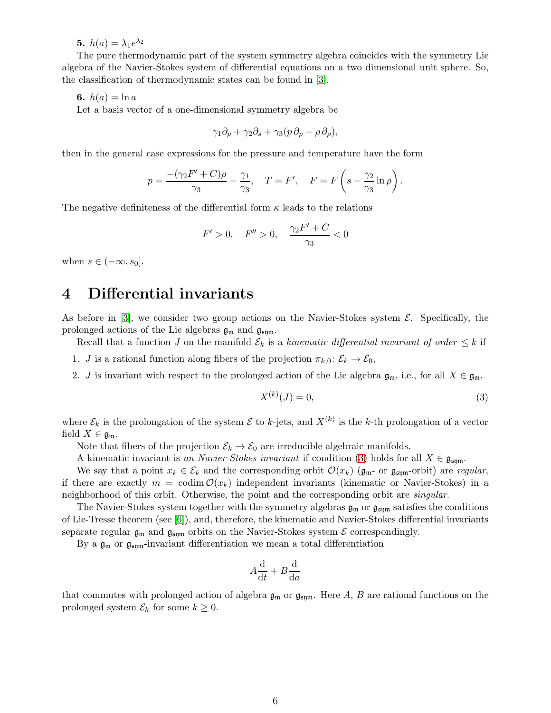**5.**  $h(a) = \lambda_1 e^{\lambda_2}$ 

The pure thermodynamic part of the system symmetry algebra coincides with the symmetry Lie algebra of the Navier-Stokes system of differential equations on a two dimensional unit sphere. So, the classification of thermodynamic states can be found in [\[3\]](#page-9-2).

6.  $h(a) = \ln a$ 

Let a basis vector of a one-dimensional symmetry algebra be

$$
\gamma_1 \partial_p + \gamma_2 \partial_s + \gamma_3 (p \partial_p + \rho \partial_\rho),
$$

then in the general case expressions for the pressure and temperature have the form

$$
p=\frac{-(\gamma_2F'+C)\rho}{\gamma_3}-\frac{\gamma_1}{\gamma_3},\quad T=F',\quad F=F\left(s-\frac{\gamma_2}{\gamma_3}\ln\rho\right).
$$

The negative definiteness of the differential form  $\kappa$  leads to the relations

$$
F' > 0, \quad F'' > 0, \quad \frac{\gamma_2 F' + C}{\gamma_3} < 0
$$

<span id="page-5-0"></span>when  $s \in (-\infty, s_0]$ .

#### 4 Differential invariants

As before in [\[3\]](#page-9-2), we consider two group actions on the Navier-Stokes system  $\mathcal{E}$ . Specifically, the prolonged actions of the Lie algebras  $\mathfrak{g}_{\mathfrak{m}}$  and  $\mathfrak{g}_{\mathfrak{sym}}$ .

Recall that a function J on the manifold  $\mathcal{E}_k$  is a kinematic differential invariant of order  $\leq k$  if

- 1. *J* is a rational function along fibers of the projection  $\pi_{k,0}$ :  $\mathcal{E}_k \to \mathcal{E}_0$ ,
- 2. J is invariant with respect to the prolonged action of the Lie algebra  $\mathfrak{g}_{\mathfrak{m}}$ , i.e., for all  $X \in \mathfrak{g}_{\mathfrak{m}}$ ,

<span id="page-5-1"></span>
$$
X^{(k)}(J) = 0,\t\t(3)
$$

where  $\mathcal{E}_k$  is the prolongation of the system  $\mathcal E$  to k-jets, and  $X^{(k)}$  is the k-th prolongation of a vector field  $X \in \mathfrak{g}_{\mathfrak{m}}$ .

Note that fibers of the projection  $\mathcal{E}_k \to \mathcal{E}_0$  are irreducible algebraic manifolds.

A kinematic invariant is an Navier-Stokes invariant if condition [\(3\)](#page-5-1) holds for all  $X \in \mathfrak{g}_{\mathfrak{sym}}$ .

We say that a point  $x_k \in \mathcal{E}_k$  and the corresponding orbit  $\mathcal{O}(x_k)$  ( $\mathfrak{g}_{\mathfrak{m}}$ -orbit) are regular, if there are exactly  $m = \text{codim } \mathcal{O}(x_k)$  independent invariants (kinematic or Navier-Stokes) in a neighborhood of this orbit. Otherwise, the point and the corresponding orbit are *singular*.

The Navier-Stokes system together with the symmetry algebras  $\mathfrak{g}_{\mathfrak{m}}$  or  $\mathfrak{g}_{\mathfrak{sm}}$  satisfies the conditions of Lie-Tresse theorem (see [\[6\]](#page-9-5)), and, therefore, the kinematic and Navier-Stokes differential invariants separate regular  $\mathfrak{g}_{\mathfrak{m}}$  and  $\mathfrak{g}_{\mathfrak{sym}}$  orbits on the Navier-Stokes system  $\mathcal E$  correspondingly.

By a  $\mathfrak{g}_m$  or  $\mathfrak{g}_{\mathfrak{sm}}$ -invariant differentiation we mean a total differentiation

$$
A\frac{\mathrm{d}}{\mathrm{d}t} + B\frac{\mathrm{d}}{\mathrm{d}a}
$$

that commutes with prolonged action of algebra  $\mathfrak{g}_{\mathfrak{m}}$  or  $\mathfrak{g}_{\mathfrak{sym}}$ . Here A, B are rational functions on the prolonged system  $\mathcal{E}_k$  for some  $k \geq 0$ .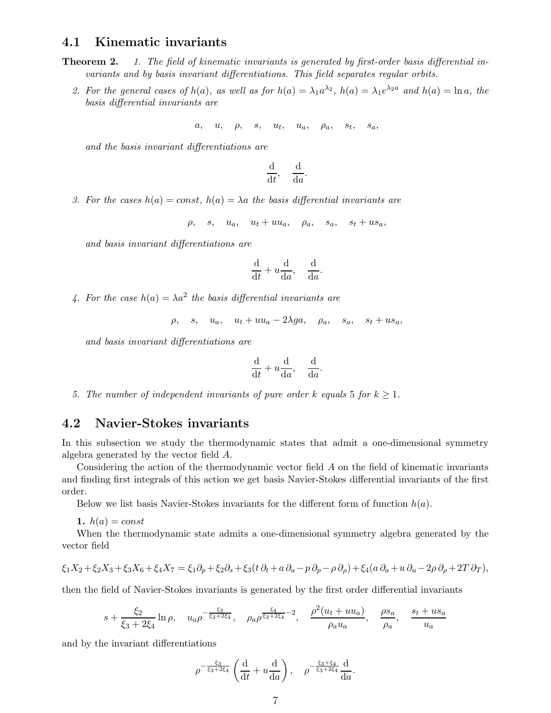#### 4.1 Kinematic invariants

- **Theorem 2.** 1. The field of kinematic invariants is generated by first-order basis differential invariants and by basis invariant differentiations. This field separates regular orbits.
	- 2. For the general cases of  $h(a)$ , as well as for  $h(a) = \lambda_1 a^{\lambda_2}$ ,  $h(a) = \lambda_1 e^{\lambda_2 a}$  and  $h(a) = \ln a$ , the basis differential invariants are

$$
a, \quad u, \quad \rho, \quad s, \quad u_t, \quad u_a, \quad \rho_a, \quad s_t, \quad s_a,
$$

and the basis invariant differentiations are

$$
\frac{\mathrm{d}}{\mathrm{d}t}, \quad \frac{\mathrm{d}}{\mathrm{d}a}.
$$

3. For the cases  $h(a) = const, h(a) = \lambda a$  the basis differential invariants are

 $\rho$ , s,  $u_a$ ,  $u_t + uu_a$ ,  $\rho_a$ ,  $s_a$ ,  $s_t + us_a$ ,

and basis invariant differentiations are

$$
\frac{\mathrm{d}}{\mathrm{d}t} + u\frac{\mathrm{d}}{\mathrm{d}a}, \quad \frac{\mathrm{d}}{\mathrm{d}a}
$$

.

4. For the case  $h(a) = \lambda a^2$  the basis differential invariants are

$$
\rho
$$
,  $s$ ,  $u_a$ ,  $u_t + uu_a - 2\lambda ga$ ,  $\rho_a$ ,  $s_a$ ,  $s_t + us_a$ ,

and basis invariant differentiations are

$$
\frac{\mathrm{d}}{\mathrm{d}t} + u\frac{\mathrm{d}}{\mathrm{d}a}, \quad \frac{\mathrm{d}}{\mathrm{d}a}.
$$

5. The number of independent invariants of pure order k equals 5 for  $k \geq 1$ .

#### 4.2 Navier-Stokes invariants

In this subsection we study the thermodynamic states that admit a one-dimensional symmetry algebra generated by the vector field A.

Considering the action of the thermodynamic vector field A on the field of kinematic invariants and finding first integrals of this action we get basis Navier-Stokes differential invariants of the first order.

Below we list basis Navier-Stokes invariants for the different form of function  $h(a)$ .

1.  $h(a) = const$ 

When the thermodynamic state admits a one-dimensional symmetry algebra generated by the vector field

$$
\xi_1 X_2 + \xi_2 X_3 + \xi_3 X_6 + \xi_4 X_7 = \xi_1 \partial_p + \xi_2 \partial_s + \xi_3 (t \partial_t + a \partial_a - p \partial_p - \rho \partial_\rho) + \xi_4 (a \partial_a + u \partial_u - 2\rho \partial_\rho + 2T \partial_T),
$$

then the field of Navier-Stokes invariants is generated by the first order differential invariants

$$
s + \frac{\xi_2}{\xi_3 + 2\xi_4} \ln \rho
$$
,  $u_a \rho^{-\frac{\xi_3}{\xi_3 + 2\xi_4}}$ ,  $\rho_a \rho^{\frac{\xi_4}{\xi_3 + 2\xi_4} - 2}$ ,  $\frac{\rho^2 (u_t + uu_a)}{\rho_a u_a}$ ,  $\frac{\rho s_a}{\rho_a}$ ,  $\frac{s_t + us_a}{u_a}$ 

and by the invariant differentiations

$$
\rho^{-\frac{\xi_3}{\xi_3+2\xi_4}}\left(\frac{\mathrm{d}}{\mathrm{d}t}+u\frac{\mathrm{d}}{\mathrm{d}a}\right), \quad \rho^{-\frac{\xi_3+\xi_4}{\xi_3+2\xi_4}}\frac{\mathrm{d}}{\mathrm{d}a}.
$$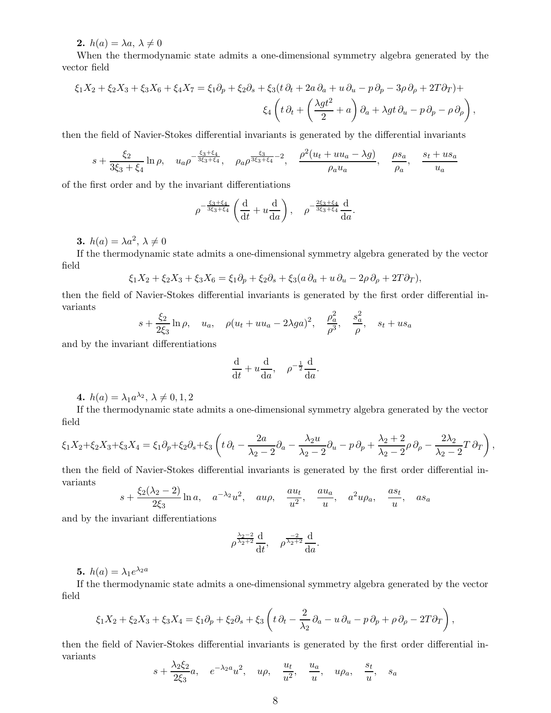2.  $h(a) = \lambda a, \lambda \neq 0$ 

When the thermodynamic state admits a one-dimensional symmetry algebra generated by the vector field

$$
\xi_1 X_2 + \xi_2 X_3 + \xi_3 X_6 + \xi_4 X_7 = \xi_1 \partial_p + \xi_2 \partial_s + \xi_3 (t \partial_t + 2a \partial_a + u \partial_u - p \partial_p - 3\rho \partial_\rho + 2T \partial_T) +
$$
  

$$
\xi_4 \left( t \partial_t + \left( \frac{\lambda g t^2}{2} + a \right) \partial_a + \lambda g t \partial_u - p \partial_p - \rho \partial_\rho \right),
$$

then the field of Navier-Stokes differential invariants is generated by the differential invariants

$$
s + \frac{\xi_2}{3\xi_3 + \xi_4} \ln \rho, \quad u_a \rho^{-\frac{\xi_3 + \xi_4}{3\xi_3 + \xi_4}}, \quad \rho_a \rho^{\frac{\xi_3}{3\xi_3 + \xi_4} - 2}, \quad \frac{\rho^2 (u_t + uu_a - \lambda g)}{\rho_a u_a}, \quad \frac{\rho s_a}{\rho_a}, \quad \frac{s_t + us_a}{u_a}
$$

of the first order and by the invariant differentiations

$$
\rho^{-\frac{\xi_3+\xi_4}{3\xi_3+\xi_4}}\left(\frac{d}{dt}+u\frac{d}{da}\right), \quad \rho^{-\frac{2\xi_3+\xi_4}{3\xi_3+\xi_4}}\frac{d}{da}.
$$

**3.**  $h(a) = \lambda a^2, \ \lambda \neq 0$ 

If the thermodynamic state admits a one-dimensional symmetry algebra generated by the vector field

$$
\xi_1 X_2 + \xi_2 X_3 + \xi_3 X_6 = \xi_1 \partial_p + \xi_2 \partial_s + \xi_3 (a \partial_a + u \partial_u - 2\rho \partial_\rho + 2T \partial_T),
$$

then the field of Navier-Stokes differential invariants is generated by the first order differential invariants

$$
s + \frac{\xi_2}{2\xi_3} \ln \rho
$$
,  $u_a$ ,  $\rho (u_t + uu_a - 2\lambda ga)^2$ ,  $\frac{\rho_a^2}{\rho^3}$ ,  $\frac{s_a^2}{\rho}$ ,  $s_t + us_a$ 

and by the invariant differentiations

$$
\frac{\mathrm{d}}{\mathrm{d}t} + u \frac{\mathrm{d}}{\mathrm{d}a}, \quad \rho^{-\frac{1}{2}} \frac{\mathrm{d}}{\mathrm{d}a}.
$$

4.  $h(a) = \lambda_1 a^{\lambda_2}, \lambda \neq 0, 1, 2$ 

If the thermodynamic state admits a one-dimensional symmetry algebra generated by the vector field

$$
\xi_1 X_2 + \xi_2 X_3 + \xi_3 X_4 = \xi_1 \partial_p + \xi_2 \partial_s + \xi_3 \left( t \partial_t - \frac{2a}{\lambda_2 - 2} \partial_a - \frac{\lambda_2 u}{\lambda_2 - 2} \partial_u - p \partial_p + \frac{\lambda_2 + 2}{\lambda_2 - 2} \rho \partial_p - \frac{2\lambda_2}{\lambda_2 - 2} T \partial_T \right),
$$

then the field of Navier-Stokes differential invariants is generated by the first order differential invariants

$$
s + \frac{\xi_2(\lambda_2 - 2)}{2\xi_3} \ln a
$$
,  $a^{-\lambda_2}u^2$ ,  $au\rho$ ,  $\frac{au_t}{u^2}$ ,  $\frac{au_a}{u}$ ,  $a^2u\rho_a$ ,  $\frac{as_t}{u}$ ,  $as_a$ 

and by the invariant differentiations

$$
\rho^{\frac{\lambda_2-2}{\lambda_2+2}}\frac{\mathrm{d}}{\mathrm{d}t}, \quad \rho^{\frac{-2}{\lambda_2+2}}\frac{\mathrm{d}}{\mathrm{d}a}.
$$

**5.**  $h(a) = \lambda_1 e^{\lambda_2 a}$ 

If the thermodynamic state admits a one-dimensional symmetry algebra generated by the vector field

$$
\xi_1 X_2 + \xi_2 X_3 + \xi_3 X_4 = \xi_1 \partial_p + \xi_2 \partial_s + \xi_3 \left( t \partial_t - \frac{2}{\lambda_2} \partial_a - u \partial_u - p \partial_p + \rho \partial_\rho - 2T \partial_T \right),
$$

then the field of Navier-Stokes differential invariants is generated by the first order differential invariants λ2ξ<sup>2</sup>

$$
s + \frac{\lambda_2 \xi_2}{2\xi_3}a
$$
,  $e^{-\lambda_2 a}u^2$ ,  $u\rho$ ,  $\frac{u_t}{u^2}$ ,  $\frac{u_a}{u}$ ,  $u\rho_a$ ,  $\frac{s_t}{u}$ ,  $s_a$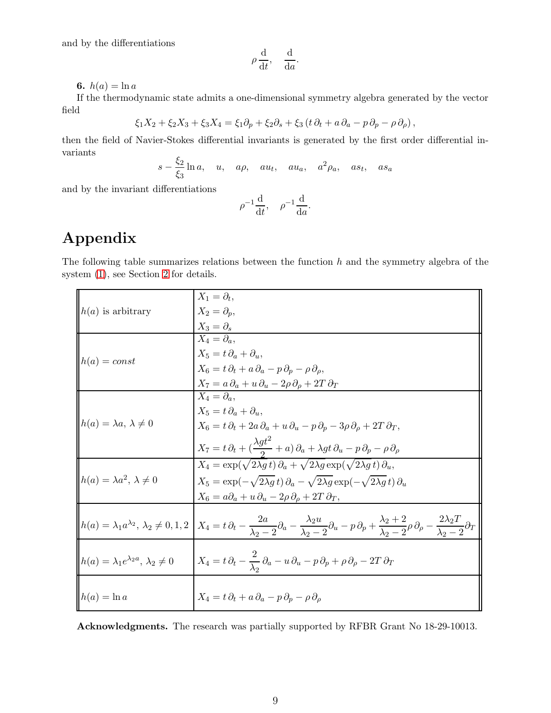and by the differentiations

$$
\rho \frac{\mathrm{d}}{\mathrm{d}t}, \quad \frac{\mathrm{d}}{\mathrm{d}a}.
$$

6.  $h(a) = \ln a$ 

If the thermodynamic state admits a one-dimensional symmetry algebra generated by the vector field

$$
\xi_1 X_2 + \xi_2 X_3 + \xi_3 X_4 = \xi_1 \partial_p + \xi_2 \partial_s + \xi_3 (t \partial_t + a \partial_a - p \partial_p - \rho \partial_\rho),
$$

then the field of Navier-Stokes differential invariants is generated by the first order differential invariants

$$
s - \frac{\xi_2}{\xi_3} \ln a
$$
,  $u$ ,  $a\rho$ ,  $au_t$ ,  $au_a$ ,  $a^2\rho_a$ ,  $as_t$ ,  $as_a$ 

and by the invariant differentiations

$$
\rho^{-1}\frac{\mathrm{d}}{\mathrm{d}t}, \quad \rho^{-1}\frac{\mathrm{d}}{\mathrm{d}a}.
$$

## Appendix

The following table summarizes relations between the function  $h$  and the symmetry algebra of the system [\(1\)](#page-0-0), see Section [2](#page-1-0) for details.

| $h(a)$ is arbitrary                                  | $X_1 = \partial_t,$                                                                                                                                                                                                                                                                              |
|------------------------------------------------------|--------------------------------------------------------------------------------------------------------------------------------------------------------------------------------------------------------------------------------------------------------------------------------------------------|
|                                                      | $X_2 = \partial_p$ ,                                                                                                                                                                                                                                                                             |
|                                                      | $X_3 = \partial_s$                                                                                                                                                                                                                                                                               |
| $h(a) = const$                                       | $X_4 = \partial_{\alpha}$                                                                                                                                                                                                                                                                        |
|                                                      | $X_5 = t \partial_a + \partial_u,$                                                                                                                                                                                                                                                               |
|                                                      | $X_6 = t \, \partial_t + a \, \partial_a - p \, \partial_p - \rho \, \partial_o,$                                                                                                                                                                                                                |
|                                                      | $X_7 = a \partial_a + u \partial_u - 2 \rho \partial_\rho + 2T \partial_T$                                                                                                                                                                                                                       |
| $h(a) = \lambda a, \lambda \neq 0$                   | $X_4 = \partial_a,$                                                                                                                                                                                                                                                                              |
|                                                      | $X_5 = t \partial_a + \partial_u,$                                                                                                                                                                                                                                                               |
|                                                      | $X_6 = t \partial_t + 2a \partial_a + u \partial_u - p \partial_p - 3\rho \partial_\rho + 2T \partial_T,$                                                                                                                                                                                        |
|                                                      |                                                                                                                                                                                                                                                                                                  |
|                                                      | $X_7 = t \, \partial_t + \bigl( \frac{\lambda g t^2}{2} + a \bigr) \, \partial_a + \lambda g t \, \partial_u - p \, \partial_p - \rho \, \partial_\rho$                                                                                                                                          |
| $h(a) = \lambda a^2, \lambda \neq 0$                 | $X_4 = \exp(\sqrt{2\lambda g} t) \partial_a + \sqrt{2\lambda g} \exp(\sqrt{2\lambda g} t) \partial_a$                                                                                                                                                                                            |
|                                                      | $X_5 = \exp(-\sqrt{2\lambda g} t) \partial_a - \sqrt{2\lambda g} \exp(-\sqrt{2\lambda g} t) \partial_a$                                                                                                                                                                                          |
|                                                      | $X_6 = a\partial_a + u\,\partial_u - 2\rho\,\partial_\rho + 2T\,\partial_T,$                                                                                                                                                                                                                     |
|                                                      |                                                                                                                                                                                                                                                                                                  |
|                                                      | $h(a) = \lambda_1 a^{\lambda_2}, \ \lambda_2 \neq 0, 1, 2 \ \bigg  X_4 = t \partial_t - \frac{2a}{\lambda_2 - 2} \partial_a - \frac{\lambda_2 u}{\lambda_2 - 2} \partial_u - p \partial_p + \frac{\lambda_2 + 2}{\lambda_2 - 2} \rho \partial_p - \frac{2\lambda_2 T}{\lambda_2 - 2} \partial_T$ |
|                                                      |                                                                                                                                                                                                                                                                                                  |
| $h(a) = \lambda_1 e^{\lambda_2 a}, \lambda_2 \neq 0$ | $X_4 = t \, \partial_t - \frac{2}{\lambda_0} \, \partial_a - u \, \partial_u - p \, \partial_p + \rho \, \partial_\rho - 2T \, \partial_T$                                                                                                                                                       |
|                                                      |                                                                                                                                                                                                                                                                                                  |
|                                                      |                                                                                                                                                                                                                                                                                                  |
| $h(a) = \ln a$                                       | $X_4 = t \partial_t + a \partial_a - p \partial_p - \rho \partial_\rho$                                                                                                                                                                                                                          |
|                                                      |                                                                                                                                                                                                                                                                                                  |

Acknowledgments. The research was partially supported by RFBR Grant No 18-29-10013.